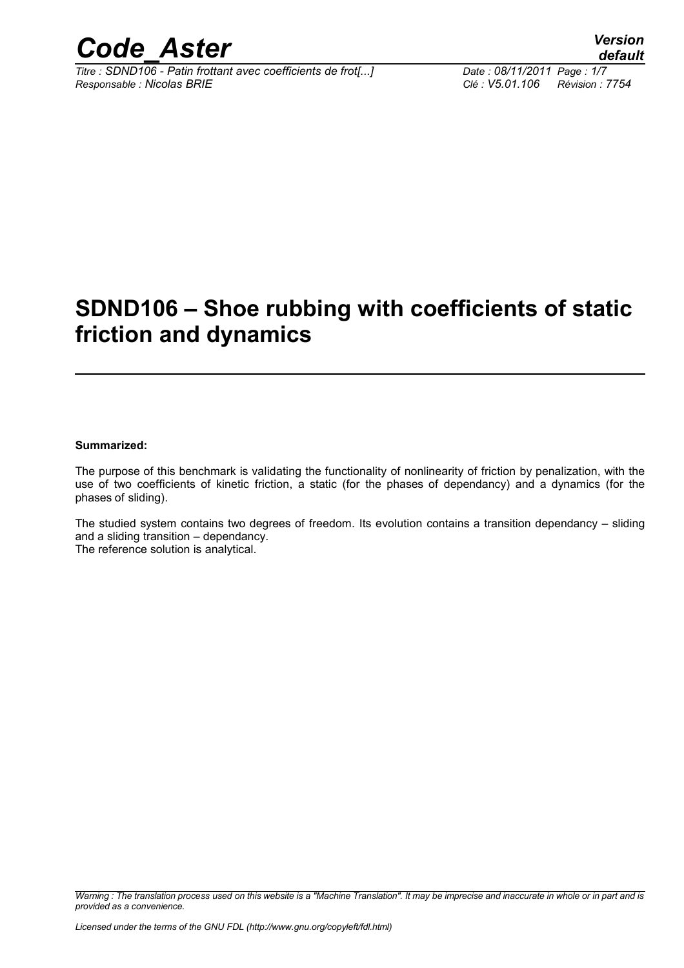

*Titre : SDND106 - Patin frottant avec coefficients de frot[...] Date : 08/11/2011 Page : 1/7 Responsable : Nicolas BRIE Clé : V5.01.106 Révision : 7754*

### **SDND106 – Shoe rubbing with coefficients of static friction and dynamics**

#### **Summarized:**

The purpose of this benchmark is validating the functionality of nonlinearity of friction by penalization, with the use of two coefficients of kinetic friction, a static (for the phases of dependancy) and a dynamics (for the phases of sliding).

The studied system contains two degrees of freedom. Its evolution contains a transition dependancy – sliding and a sliding transition – dependancy. The reference solution is analytical.

*Warning : The translation process used on this website is a "Machine Translation". It may be imprecise and inaccurate in whole or in part and is provided as a convenience.*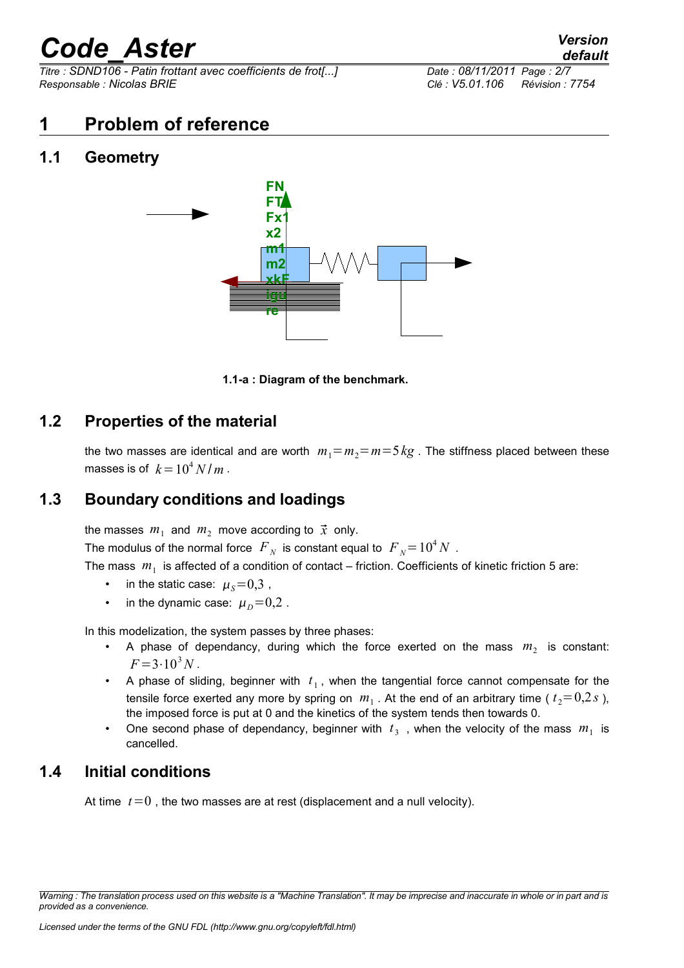*Titre : SDND106 - Patin frottant avec coefficients de frot[...] Date : 08/11/2011 Page : 2/7 Responsable : Nicolas BRIE Clé : V5.01.106 Révision : 7754*

### **1 Problem of reference**

### **1.1 Geometry**



**1.1-a : Diagram of the benchmark.**

### **1.2 Properties of the material**

the two masses are identical and are worth  $m_1=m_2=m=5$  kg. The stiffness placed between these masses is of  $k = 10<sup>4</sup> N/m$ .

### **1.3 Boundary conditions and loadings**

the masses  $m_1$  and  $m_2$  move according to  $\vec{x}$  only.

The modulus of the normal force  $\overline{F}_N$  is constant equal to  $\overline{F}_N\textcolor{black}{=}10^4\,N$  .

The mass  $m_1$  is affected of a condition of contact – friction. Coefficients of kinetic friction [5](#page-4-0) are:

- in the static case:  $\mu_s = 0.3$ ,
- in the dynamic case:  $\mu_D=0.2$ .

In this modelization, the system passes by three phases:

- A phase of dependancy, during which the force exerted on the mass  $m_2$  is constant:  $F = 3 \cdot 10^3 N$ .
- $\bullet$  A phase of sliding, beginner with  $t_1$ , when the tangential force cannot compensate for the tensile force exerted any more by spring on  $\,m_1^{}$  . At the end of an arbitrary time (  $t_2^{}\!\!=\!0.2\,s$  ), the imposed force is put at 0 and the kinetics of the system tends then towards 0.
- One second phase of dependancy, beginner with  $t_3$ , when the velocity of the mass  $m_1$  is cancelled.

### **1.4 Initial conditions**

At time  $t=0$ , the two masses are at rest (displacement and a null velocity).

*Warning : The translation process used on this website is a "Machine Translation". It may be imprecise and inaccurate in whole or in part and is provided as a convenience.*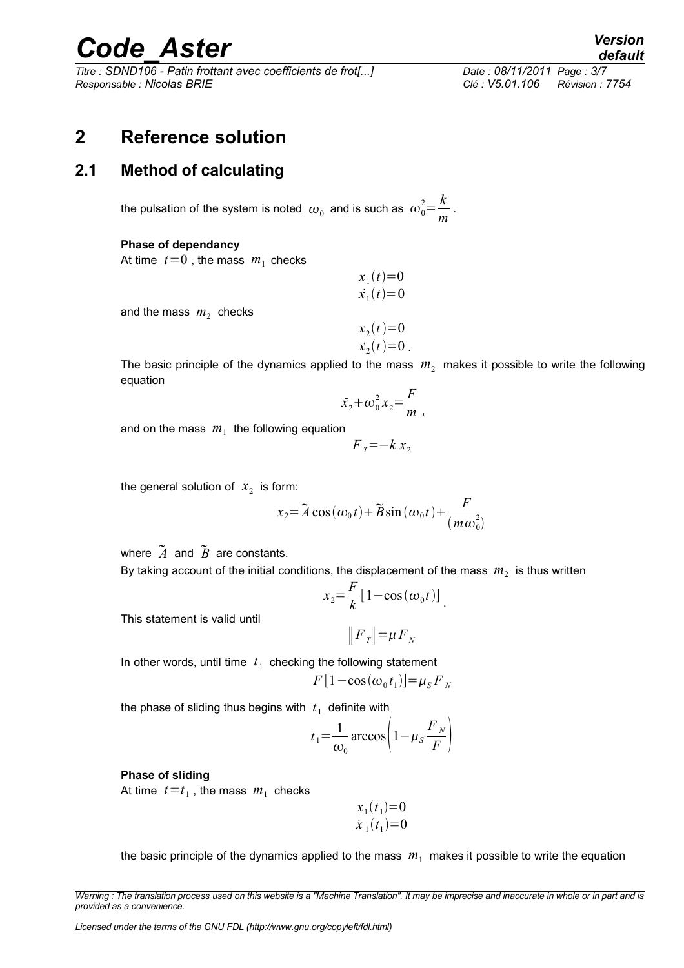*Titre : SDND106 - Patin frottant avec coefficients de frot[...] Date : 08/11/2011 Page : 3/7 Responsable : Nicolas BRIE Clé : V5.01.106 Révision : 7754*

### *default*

### **2 Reference solution**

### **2.1 Method of calculating**

the pulsation of the system is noted  $\omega_{_0}$  and is such as  $\left. \omega_{_0}^2 \right| = \frac{k}{m}$  $\frac{m}{m}$ .

#### **Phase of dependancy**

At time  $t=0$  , the mass  $m_1$  checks

and the mass  $m_2$  checks

 $x_2(t) = 0$  $x_2(t) = 0$ .

 $x_1(t)=0$  $\dot{x}_1(t)=0$ 

The basic principle of the dynamics applied to the mass  $m<sub>2</sub>$  makes it possible to write the following equation

$$
\ddot{x_2} + \omega_0^2 x_2 = \frac{F}{m},
$$

and on the mass  $\,m_1^{}\,$  the following equation

$$
F_T = -k x_2
$$

the general solution of  $x_2$  is form:

$$
x_2 = \widetilde{A}\cos(\omega_0 t) + \widetilde{B}\sin(\omega_0 t) + \frac{F}{(m\omega_0^2)}
$$

where  $\tilde{A}$  and  $\tilde{B}$  are constants.

By taking account of the initial conditions, the displacement of the mass  $m_2^+$  is thus written

$$
x_2 = \frac{F}{k} [1 - \cos(\omega_0 t)]
$$

 $||F_T||=μF_N$ 

This statement is valid until

In other words, until time  $t_1$  checking the following statement

$$
F[1-\cos(\omega_0 t_1)] = \mu_S F_N
$$

the phase of sliding thus begins with  $|t_1|$  definite with

$$
t_1 = \frac{1}{\omega_0} \arccos\left(1 - \mu_S \frac{F_N}{F}\right)
$$

#### **Phase of sliding**

At time  $t = t_1$ , the mass  $m_1$  checks

 $x_1(t_1)=0$  $\dot{x}_1(t_1)=0$ 

the basic principle of the dynamics applied to the mass  $m_1$  makes it possible to write the equation

*Warning : The translation process used on this website is a "Machine Translation". It may be imprecise and inaccurate in whole or in part and is provided as a convenience.*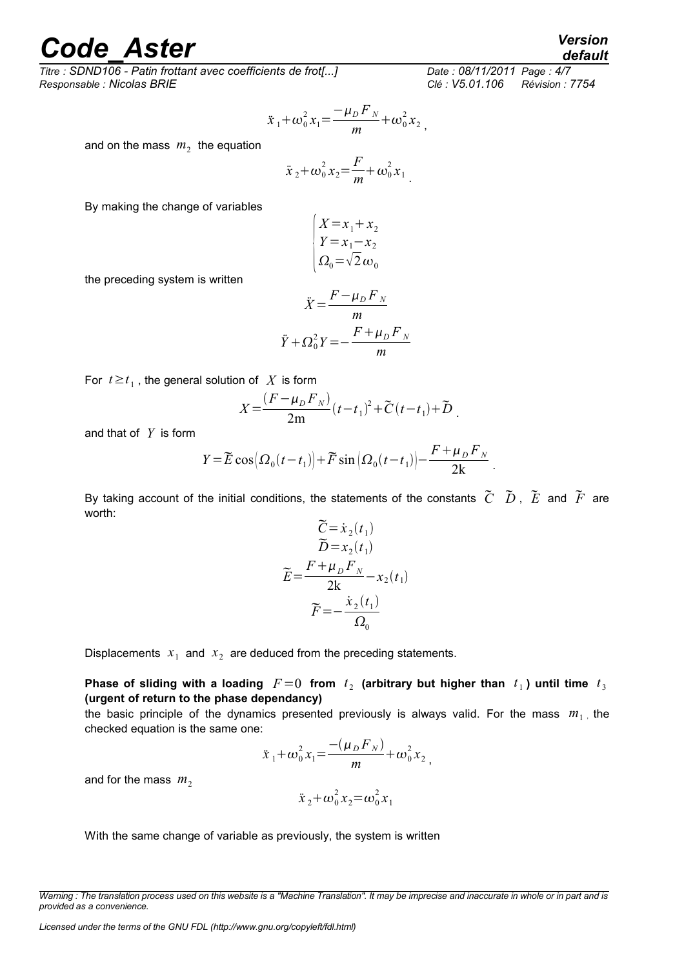*Titre : SDND106 - Patin frottant avec coefficients de frot[...] Date : 08/11/2011 Page : 4/7 Responsable : Nicolas BRIE Clé : V5.01.106 Révision : 7754*

$$
\ddot{x}_1 + \omega_0^2 x_1 = \frac{-\mu_D F_N}{m} + \omega_0^2 x_2
$$

and on the mass  $m_2$  the equation

$$
\ddot{x}_2 + \omega_0^2 x_2 = \frac{F}{m} + \omega_0^2 x_1
$$

.

By making the change of variables

$$
\begin{cases}\nX = x_1 + x_2 \\
Y = x_1 - x_2 \\
\Omega_0 = \sqrt{2} \omega_0\n\end{cases}
$$
\n
$$
r = \frac{F - \mu_D F}{\sqrt{2}}
$$

the preceding system is written

$$
\ddot{X} = \frac{F - \mu_D F_N}{m}
$$

$$
\ddot{Y} + \Omega_0^2 Y = -\frac{F + \mu_D F_N}{m}
$$

For  $t \geq t_1$ , the general solution of  $|X|$  is form

$$
X = \frac{(F - \mu_D F_N)}{2m} (t - t_1)^2 + \tilde{C} (t - t_1) + \tilde{D}.
$$

and that of *Y* is form

$$
Y = \widetilde{E} \cos \left( \Omega_0 (t - t_1) \right) + \widetilde{F} \sin \left( \Omega_0 (t - t_1) \right) - \frac{F + \mu_D F_N}{2k}.
$$

By taking account of the initial conditions, the statements of the constants  $\tilde{C}$   $\tilde{D}$ ,  $\tilde{E}$  and  $\tilde{F}$  are worth:

$$
\widetilde{C} = \dot{x}_2(t_1)
$$

$$
\widetilde{D} = x_2(t_1)
$$

$$
\widetilde{E} = \frac{F + \mu_D F_N}{2k} - x_2(t_1)
$$

$$
\widetilde{F} = -\frac{\dot{x}_2(t_1)}{\Omega_0}
$$

Displacements  $x_1$  and  $x_2$  are deduced from the preceding statements.

Phase of sliding with a loading  $|F=0|$  from  $|t_2|$  (arbitrary but higher than  $|t_1|$ ) until time  $|t_3|$ **(urgent of return to the phase dependancy)**

the basic principle of the dynamics presented previously is always valid. For the mass  $m_1$ , the checked equation is the same one:

$$
\ddot{x}_1 + \omega_0^2 x_1 = \frac{-(\mu_D F_N)}{m} + \omega_0^2 x_2
$$

and for the mass  $m<sub>2</sub>$ 

$$
\ddot{x}_2 + \omega_0^2 x_2 = \omega_0^2 x_1
$$

With the same change of variable as previously, the system is written

*default*

*Warning : The translation process used on this website is a "Machine Translation". It may be imprecise and inaccurate in whole or in part and is provided as a convenience.*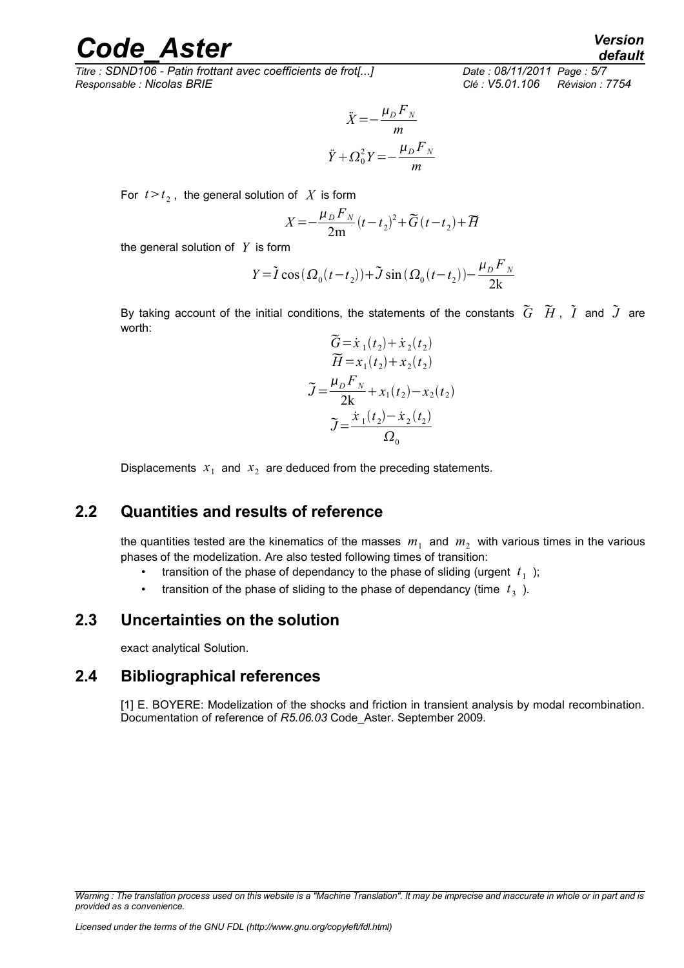*Titre : SDND106 - Patin frottant avec coefficients de frot[...] Date : 08/11/2011 Page : 5/7 Responsable : Nicolas BRIE Clé : V5.01.106 Révision : 7754*

$$
\ddot{X} = -\frac{\mu_D F_N}{m}
$$

$$
\ddot{Y} + \Omega_0^2 Y = -\frac{\mu_D F_N}{m}
$$

For  $t > t_2$ , the general solution of  $|X|$  is form

$$
X = -\frac{\mu_D F_N}{2m} (t - t_2)^2 + \widetilde{G}(t - t_2) + \widetilde{H}
$$

the general solution of *Y* is form

$$
Y = \tilde{I}\cos(\Omega_0(t - t_2)) + \tilde{J}\sin(\Omega_0(t - t_2)) - \frac{\mu_D F_N}{2k}
$$

By taking account of the initial conditions, the statements of the constants  $\tilde{G}$   $\tilde{H}$ ,  $\tilde{I}$  and  $\tilde{J}$  are worth:

$$
\widetilde{G} = \dot{x}_1(t_2) + \dot{x}_2(t_2)
$$

$$
\widetilde{H} = x_1(t_2) + x_2(t_2)
$$

$$
\widetilde{J} = \frac{\mu_D F_N}{2k} + x_1(t_2) - x_2(t_2)
$$

$$
\widetilde{J} = \frac{\dot{x}_1(t_2) - \dot{x}_2(t_2)}{\Omega_0}
$$

Displacements  $x_1$  and  $x_2$  are deduced from the preceding statements.

#### **2.2 Quantities and results of reference**

the quantities tested are the kinematics of the masses  $m_1$  and  $m_2$  with various times in the various phases of the modelization. Are also tested following times of transition:

- transition of the phase of dependancy to the phase of sliding (urgent  $t_1$ );
- transition of the phase of sliding to the phase of dependancy (time  $t_3$ ).

#### **2.3 Uncertainties on the solution**

exact analytical Solution.

#### **2.4 Bibliographical references**

<span id="page-4-0"></span>[1] E. BOYERE: Modelization of the shocks and friction in transient analysis by modal recombination. Documentation of reference of *R5.06.03* Code\_Aster. September 2009.

*Warning : The translation process used on this website is a "Machine Translation". It may be imprecise and inaccurate in whole or in part and is provided as a convenience.*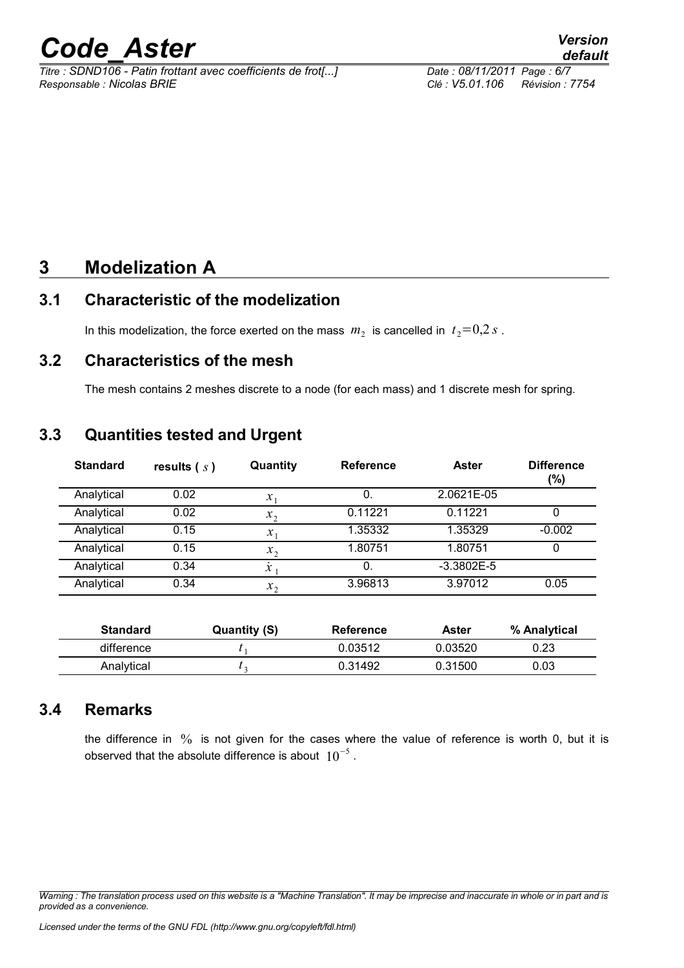### **3 Modelization A**

### **3.1 Characteristic of the modelization**

In this modelization, the force exerted on the mass  $m_2$  is cancelled in  $t_2=0.2$  *s*.

### **3.2 Characteristics of the mesh**

The mesh contains 2 meshes discrete to a node (for each mass) and 1 discrete mesh for spring.

### **3.3 Quantities tested and Urgent**

| <b>Standard</b> | results $(s)$ | Quantity     | <b>Reference</b> | Aster          | <b>Difference</b><br>(%) |
|-----------------|---------------|--------------|------------------|----------------|--------------------------|
| Analytical      | 0.02          | $x_{1}$      | 0.               | 2.0621E-05     |                          |
| Analytical      | 0.02          | $x_{2}$      | 0.11221          | 0.11221        |                          |
| Analytical      | 0.15          | $x_{1}$      | 1.35332          | 1.35329        | $-0.002$                 |
| Analytical      | 0.15          | $x_2$        | 1.80751          | 1.80751        |                          |
| Analytical      | 0.34          | $\mathcal X$ | 0.               | $-3.3802E - 5$ |                          |
| Analytical      | 0.34          | $x_2$        | 3.96813          | 3.97012        | 0.05                     |

| <b>Standard</b> | Quantity (S) | Reference | <b>Aster</b> | % Analytical |
|-----------------|--------------|-----------|--------------|--------------|
| difference      |              | 0.03512   | 0.03520      | 0.23         |
| Analytical      |              | 0.31492   | 0.31500      | 0.03         |

### **3.4 Remarks**

the difference in  $\%$  is not given for the cases where the value of reference is worth 0, but it is observed that the absolute difference is about  $10^{-5}$  .

*Warning : The translation process used on this website is a "Machine Translation". It may be imprecise and inaccurate in whole or in part and is provided as a convenience.*